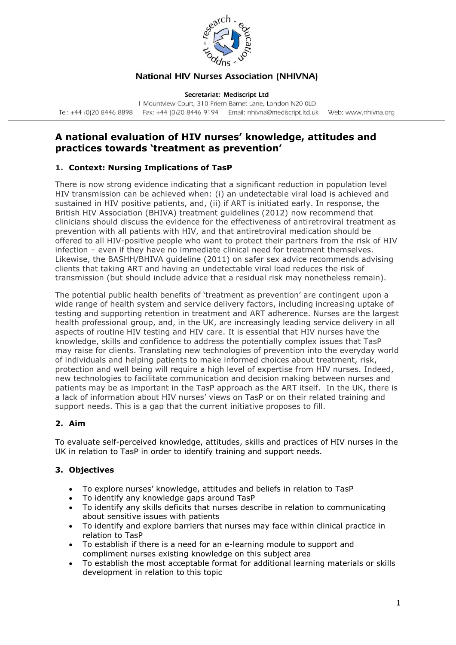

# **National HIV Nurses Association (NHIVNA)**

Secretariat: Mediscript Ltd

1 Mountview Court, 310 Friern Barnet Lane, London N20 OLD Tel: +44 (0)20 8446 8898 Fax: +44 (0)20 8446 9194 Email: nhivna@mediscript.ltd.uk Web: www.nhivna.org

# **A national evaluation of HIV nurses' knowledge, attitudes and practices towards 'treatment as prevention'**

# **1. Context: Nursing Implications of TasP**

There is now strong evidence indicating that a significant reduction in population level HIV transmission can be achieved when: (i) an undetectable viral load is achieved and sustained in HIV positive patients, and, (ii) if ART is initiated early. In response, the British HIV Association (BHIVA) treatment guidelines (2012) now recommend that clinicians should discuss the evidence for the effectiveness of antiretroviral treatment as prevention with all patients with HIV, and that antiretroviral medication should be offered to all HIV-positive people who want to protect their partners from the risk of HIV infection – even if they have no immediate clinical need for treatment themselves. Likewise, the BASHH/BHIVA guideline (2011) on safer sex advice recommends advising clients that taking ART and having an undetectable viral load reduces the risk of transmission (but should include advice that a residual risk may nonetheless remain).

The potential public health benefits of 'treatment as prevention' are contingent upon a wide range of health system and service delivery factors, including increasing uptake of testing and supporting retention in treatment and ART adherence. Nurses are the largest health professional group, and, in the UK, are increasingly leading service delivery in all aspects of routine HIV testing and HIV care. It is essential that HIV nurses have the knowledge, skills and confidence to address the potentially complex issues that TasP may raise for clients. Translating new technologies of prevention into the everyday world of individuals and helping patients to make informed choices about treatment, risk, protection and well being will require a high level of expertise from HIV nurses. Indeed, new technologies to facilitate communication and decision making between nurses and patients may be as important in the TasP approach as the ART itself. In the UK, there is a lack of information about HIV nurses' views on TasP or on their related training and support needs. This is a gap that the current initiative proposes to fill.

### **2. Aim**

To evaluate self-perceived knowledge, attitudes, skills and practices of HIV nurses in the UK in relation to TasP in order to identify training and support needs.

### **3. Objectives**

- To explore nurses' knowledge, attitudes and beliefs in relation to TasP
- To identify any knowledge gaps around TasP
- To identify any skills deficits that nurses describe in relation to communicating about sensitive issues with patients
- To identify and explore barriers that nurses may face within clinical practice in relation to TasP
- To establish if there is a need for an e-learning module to support and compliment nurses existing knowledge on this subject area
- To establish the most acceptable format for additional learning materials or skills development in relation to this topic